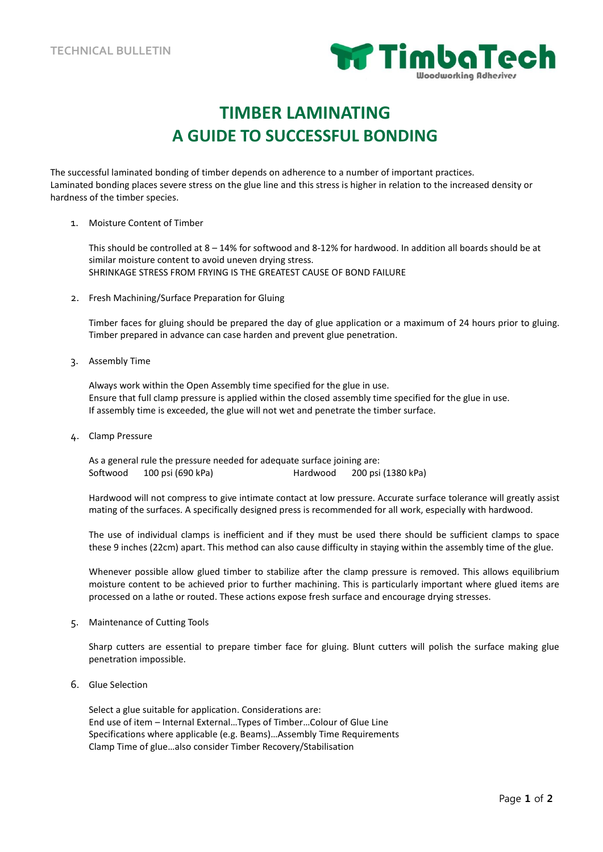

# **TIMBER LAMINATING A GUIDE TO SUCCESSFUL BONDING**

The successful laminated bonding of timber depends on adherence to a number of important practices. Laminated bonding places severe stress on the glue line and this stress is higher in relation to the increased density or hardness of the timber species.

1. Moisture Content of Timber

This should be controlled at 8 – 14% for softwood and 8-12% for hardwood. In addition all boards should be at similar moisture content to avoid uneven drying stress. SHRINKAGE STRESS FROM FRYING IS THE GREATEST CAUSE OF BOND FAILURE

2. Fresh Machining/Surface Preparation for Gluing

Timber faces for gluing should be prepared the day of glue application or a maximum of 24 hours prior to gluing. Timber prepared in advance can case harden and prevent glue penetration.

3. Assembly Time

Always work within the Open Assembly time specified for the glue in use. Ensure that full clamp pressure is applied within the closed assembly time specified for the glue in use. If assembly time is exceeded, the glue will not wet and penetrate the timber surface.

4. Clamp Pressure

As a general rule the pressure needed for adequate surface joining are: Softwood 100 psi (690 kPa) Hardwood 200 psi (1380 kPa)

Hardwood will not compress to give intimate contact at low pressure. Accurate surface tolerance will greatly assist mating of the surfaces. A specifically designed press is recommended for all work, especially with hardwood.

The use of individual clamps is inefficient and if they must be used there should be sufficient clamps to space these 9 inches (22cm) apart. This method can also cause difficulty in staying within the assembly time of the glue.

Whenever possible allow glued timber to stabilize after the clamp pressure is removed. This allows equilibrium moisture content to be achieved prior to further machining. This is particularly important where glued items are processed on a lathe or routed. These actions expose fresh surface and encourage drying stresses.

5. Maintenance of Cutting Tools

Sharp cutters are essential to prepare timber face for gluing. Blunt cutters will polish the surface making glue penetration impossible.

6. Glue Selection

Select a glue suitable for application. Considerations are: End use of item – Internal External…Types of Timber…Colour of Glue Line Specifications where applicable (e.g. Beams)…Assembly Time Requirements Clamp Time of glue…also consider Timber Recovery/Stabilisation